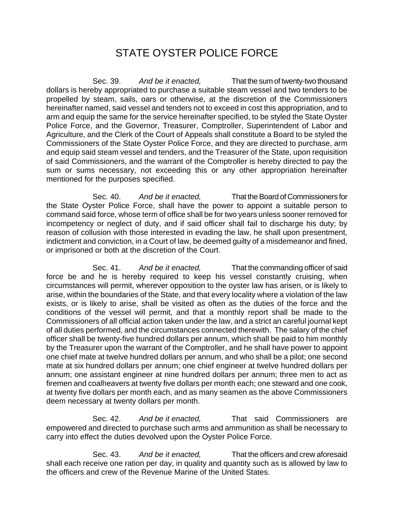## STATE OYSTER POLICE FORCE

Sec. 39. *And be it enacted,* That the sum of twenty-two thousand dollars is hereby appropriated to purchase a suitable steam vessel and two tenders to be propelled by steam, sails, oars or otherwise, at the discretion of the Commissioners hereinafter named, said vessel and tenders not to exceed in cost this appropriation, and to arm and equip the same for the service hereinafter specified, to be styled the State Oyster Police Force, and the Governor, Treasurer, Comptroller, Superintendent of Labor and Agriculture, and the Clerk of the Court of Appeals shall constitute a Board to be styled the Commissioners of the State Oyster Police Force, and they are directed to purchase, arm and equip said steam vessel and tenders, and the Treasurer of the State, upon requisition of said Commissioners, and the warrant of the Comptroller is hereby directed to pay the sum or sums necessary, not exceeding this or any other appropriation hereinafter mentioned for the purposes specified.

Sec. 40. *And be it enacted,* That the Board of Commissioners for the State Oyster Police Force, shall have the power to appoint a suitable person to command said force, whose term of office shall be for two years unless sooner removed for incompetency or neglect of duty, and if said officer shall fail to discharge his duty; by reason of collusion with those interested in evading the law, he shall upon presentment, indictment and conviction, in a Court of law, be deemed guilty of a misdemeanor and fined, or imprisoned or both at the discretion of the Court.

Sec. 41. *And be it enacted,* That the commanding officer of said force be and he is hereby required to keep his vessel constantly cruising, when circumstances will permit, wherever opposition to the oyster law has arisen, or is likely to arise, within the boundaries of the State, and that every locality where a violation of the law exists, or is likely to arise, shall be visited as often as the duties of the force and the conditions of the vessel will permit, and that a monthly report shall be made to the Commissioners of all official action taken under the law, and a strict an careful journal kept of all duties performed, and the circumstances connected therewith. The salary of the chief officer shall be twenty-five hundred dollars per annum, which shall be paid to him monthly by the Treasurer upon the warrant of the Comptroller, and he shall have power to appoint one chief mate at twelve hundred dollars per annum, and who shall be a pilot; one second mate at six hundred dollars per annum; one chief engineer at twelve hundred dollars per annum; one assistant engineer at nine hundred dollars per annum; three men to act as firemen and coalheavers at twenty five dollars per month each; one steward and one cook, at twenty five dollars per month each, and as many seamen as the above Commissioners deem necessary at twenty dollars per month.

Sec. 42. *And be it enacted,* That said Commissioners are empowered and directed to purchase such arms and ammunition as shall be necessary to carry into effect the duties devolved upon the Oyster Police Force.

Sec. 43. *And be it enacted,* That the officers and crew aforesaid shall each receive one ration per day, in quality and quantity such as is allowed by law to the officers and crew of the Revenue Marine of the United States.